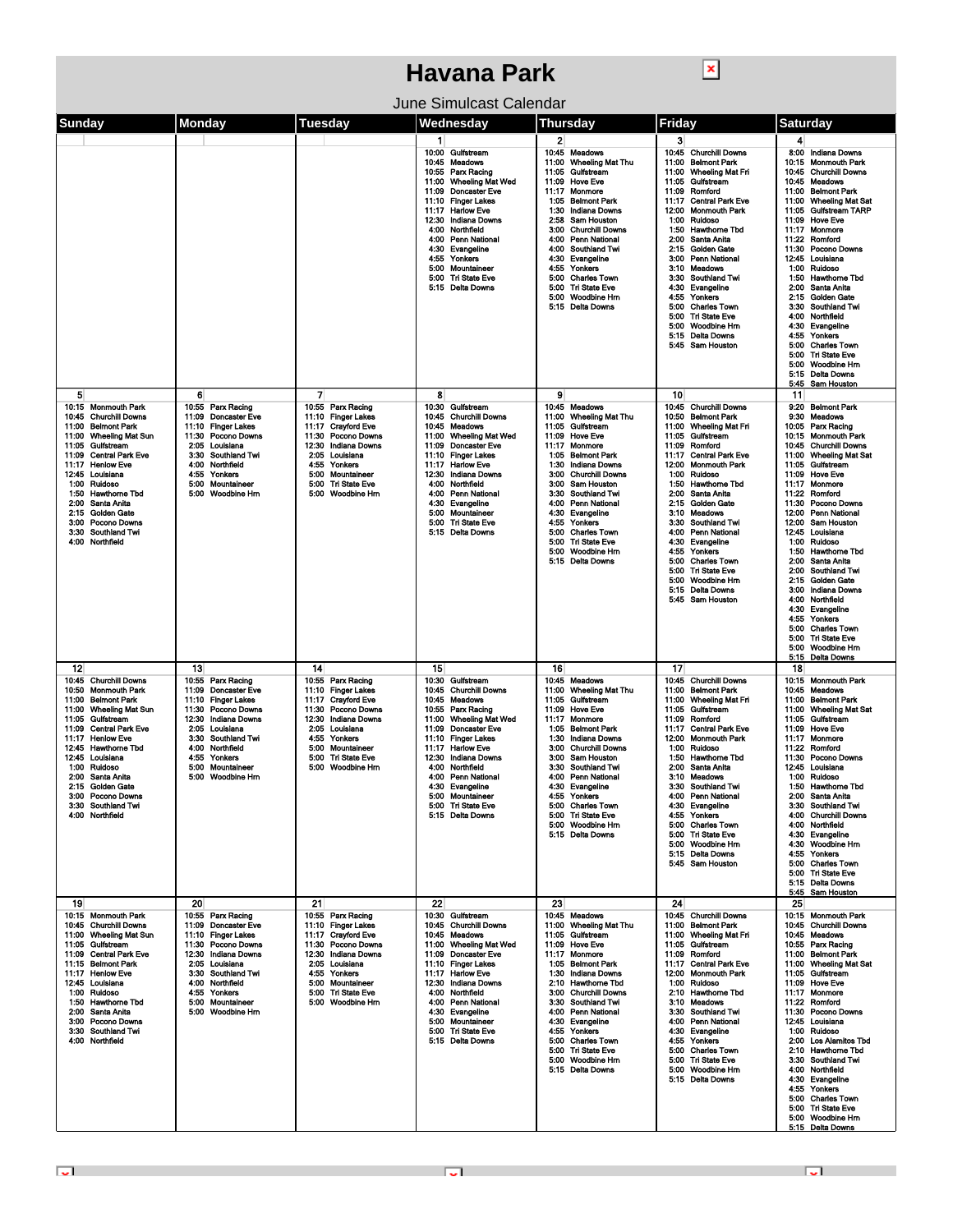## **Havana Park**

 $\boxed{\textbf{x}}$ 

| June Simulcast Calendar                                                                                                                                                                                                                                                                                                                                                                                                                 |                                                                                                                                                                                                                                               |                                                                                                                                                                                                                                                                                           |                                                                                                                                                                                                                                                                                                                                                                                                         |                                                                                                                                                                                                                                                                                                                                                                                                                                         |                                                                                                                                                                                                                                                                                                                                                                                                                                                                                                                                                                                 |                                                                                                                                                                                                                                                                                                                                                                                                                                                                                                                                                                                                                                                           |
|-----------------------------------------------------------------------------------------------------------------------------------------------------------------------------------------------------------------------------------------------------------------------------------------------------------------------------------------------------------------------------------------------------------------------------------------|-----------------------------------------------------------------------------------------------------------------------------------------------------------------------------------------------------------------------------------------------|-------------------------------------------------------------------------------------------------------------------------------------------------------------------------------------------------------------------------------------------------------------------------------------------|---------------------------------------------------------------------------------------------------------------------------------------------------------------------------------------------------------------------------------------------------------------------------------------------------------------------------------------------------------------------------------------------------------|-----------------------------------------------------------------------------------------------------------------------------------------------------------------------------------------------------------------------------------------------------------------------------------------------------------------------------------------------------------------------------------------------------------------------------------------|---------------------------------------------------------------------------------------------------------------------------------------------------------------------------------------------------------------------------------------------------------------------------------------------------------------------------------------------------------------------------------------------------------------------------------------------------------------------------------------------------------------------------------------------------------------------------------|-----------------------------------------------------------------------------------------------------------------------------------------------------------------------------------------------------------------------------------------------------------------------------------------------------------------------------------------------------------------------------------------------------------------------------------------------------------------------------------------------------------------------------------------------------------------------------------------------------------------------------------------------------------|
| Sunday                                                                                                                                                                                                                                                                                                                                                                                                                                  | Monday                                                                                                                                                                                                                                        | <b>Tuesday</b>                                                                                                                                                                                                                                                                            | Wednesday                                                                                                                                                                                                                                                                                                                                                                                               | Thursdav                                                                                                                                                                                                                                                                                                                                                                                                                                | Friday                                                                                                                                                                                                                                                                                                                                                                                                                                                                                                                                                                          | <b>Saturday</b>                                                                                                                                                                                                                                                                                                                                                                                                                                                                                                                                                                                                                                           |
|                                                                                                                                                                                                                                                                                                                                                                                                                                         |                                                                                                                                                                                                                                               |                                                                                                                                                                                                                                                                                           | 1<br>10:00 Gulfstream<br>10:45 Meadows<br>10:55 Parx Racing<br><b>Wheeling Mat Wed</b><br>11:00<br><b>Doncaster Eve</b><br>11:09<br>11:10 Finger Lakes<br><b>Harlow Eve</b><br>11:17<br>12:30<br><b>Indiana Downs</b><br>4:00<br>Northfield<br>4:00<br>Penn National<br>4:30<br>Evangeline<br>Yonkers<br>4:55<br>5:00<br>Mountaineer<br>5:00 Tri State Eve<br>5:15 Delta Downs                          | $\mathbf{2}$<br>10:45 Meadows<br>11:00 Wheeling Mat Thu<br>11:05 Gulfstream<br>11:09<br><b>Hove Eve</b><br>11:17<br>Monmore<br>1:05 Belmont Park<br>Indiana Downs<br>1:30<br>2:58<br>Sam Houston<br>3:00 Churchill Downs<br>4:00 Penn National<br>4:00 Southland Twi<br>4:30 Evangeline<br>4:55<br>Yonkers<br>5:00 Charles Town<br>5:00 Tri State Eve<br>5:00 Woodbine Hm<br>5:15 Delta Downs                                           | 3<br>10:45 Churchill Downs<br><b>Belmont Park</b><br>11:00<br>11:00<br><b>Wheeling Mat Fri</b><br>11:05<br>Gulfstream<br>11:09<br>Romford<br><b>Central Park Eve</b><br>11:17<br>12:00<br><b>Monmouth Park</b><br>1:00<br>Ruidoso<br>1:50<br><b>Hawthorne Tbd</b><br>2:00<br>Santa Anita<br>2:15<br><b>Golden Gate</b><br>3:00<br>Penn National<br>Meadows<br>3:10<br>3:30<br>Southland Twi<br>4:30<br>Evangeline<br>4:55<br>Yonkers<br>5:00<br><b>Charles Town</b><br>5:00<br><b>Tri State Eve</b><br>5:00<br>Woodbine Hm<br>5:15<br>Delta Downs<br>5.45<br><b>Sam Houston</b> | 4<br>8:00 Indiana Downs<br>10:15 Monmouth Park<br>10:45 Churchill Downs<br>10:45 Meadows<br>11:00 Belmont Park<br>11:00<br><b>Wheeling Mat Sat</b><br><b>Gulfstream TARP</b><br>11:05<br>11:09<br><b>Hove Eve</b><br>11:17<br>Monmore<br>11:22<br>Romford<br>11:30<br>Pocono Downs<br>12:45<br>Louisiana<br>1:00<br>Ruidoso<br>1:50<br><b>Hawthome Tbd</b><br>2:00 Santa Anita<br>2:15<br>Golden Gate<br>3:30 Southland Twi<br>4:00 Northfield<br>4:30<br>Evangeline<br>Yonkers<br>4:55<br>5:00<br><b>Charles Town</b><br>5:00<br><b>Tri State Eve</b><br>5:00<br>Woodbine Hm<br>5:15 Delta Downs<br>5:45<br><b>Sam Houston</b>                           |
| 5<br><b>Monmouth Park</b><br>10:15<br>10:45<br><b>Churchill Downs</b><br>11:00<br><b>Belmont Park</b><br><b>Wheeling Mat Sun</b><br>11:00<br>11:05<br>Gulfstream<br><b>Central Park Eve</b><br>11:09<br>11:17<br><b>Henlow Eve</b><br>12:45 Louisiana<br>1:00 Ruidoso<br><b>Hawthome Tbd</b><br>1:50<br>2:00<br>Santa Anita<br><b>Golden Gate</b><br>2:15<br>3:00<br>Pocono Downs<br><b>Southland Twi</b><br>3:30<br>4:00<br>Northfield | 6<br>10.55 Parx Racing<br>11:09 Doncaster Eve<br>11:10 Finger Lakes<br>11:30 Pocono Downs<br>2:05 Louisiana<br>3:30 Southland Twi<br>4.00<br>Northfield<br>4:55 Yonkers<br>5:00 Mountaineer<br>5:00 Woodbine Hrn                              | $\overline{\phantom{a}}$<br>10:55<br>Parx Racing<br><b>Finger Lakes</b><br>11:10<br>11:17<br><b>Crayford Eve</b><br>Pocono Downs<br>11:30<br>12:30<br>Indiana Downs<br>2:05<br>Louisiana<br>4:55<br>Yonkers<br>5:00<br>Mountaineer<br>Tri State Eve<br>5:00<br>5:00<br><b>Woodbine Hm</b> | 8<br>10:30<br>Gulfstream<br><b>Churchill Downs</b><br>10:45<br>10:45<br>Meadows<br><b>Wheeling Mat Wed</b><br>11:00<br>11:09<br><b>Doncaster Eve</b><br>11:10<br><b>Finger Lakes</b><br><b>Harlow Eve</b><br>11:17<br>12:30<br><b>Indiana Downs</b><br>4:00 Northfield<br>4:00<br><b>Penn National</b><br>4:30<br>Evangeline<br>Mountaineer<br>5:00<br>5:00<br><b>Tri State Eve</b><br>5:15 Delta Downs | 9<br>10:45 Meadows<br><b>Wheeling Mat Thu</b><br>11:00<br>11:05<br>Gulfstream<br>11:09<br><b>Hove Eve</b><br>11:17<br>Monmore<br>1:05<br><b>Belmont Park</b><br>1.30<br><b>Indiana Downs</b><br>3:00 Churchill Downs<br>3:00 Sam Houston<br>3:30 Southland Twi<br>4:00 Penn National<br>4:30<br>Evangeline<br>Yonkers<br>4.55<br>5:00<br><b>Charles Town</b><br><b>Tri State Eve</b><br>5:00<br>Woodbine Hm<br>5:00<br>5:15 Delta Downs | 10<br>10:45<br><b>Churchill Downs</b><br><b>Belmont Park</b><br>10:50<br>11:00<br>Wheeling Mat Fri<br>Gulfstream<br>11:05<br>Romford<br>11:09<br><b>Central Park Eve</b><br>11:17<br><b>Monmouth Park</b><br>12:00<br>Ruidoso<br>1:00<br><b>Hawthorne Tbd</b><br>1:50<br>2:00<br>Santa Anita<br>2:15<br>Golden Gate<br>Meadows<br>3:10<br>Southland Twi<br>3:30<br>4:00<br>Penn National<br>4:30<br>Evangeline<br>4:55<br>Yonkers<br>5:00<br><b>Charles Town</b><br>5:00<br><b>Tri State Eve</b><br>5:00<br>Woodbine Hm<br>Delta Downs<br>5:15<br>5:45 Sam Houston              | 11<br>9:20 Belmont Park<br><b>Meadows</b><br>9:30<br>10:05 Parx Racing<br>10:15<br><b>Monmouth Park</b><br>10:45 Churchill Downs<br>11:00<br><b>Wheeling Mat Sat</b><br>Gulfstream<br>11:05<br>11:09<br><b>Hove Eve</b><br>11.17<br>Monmore<br>11:22 Romford<br>11:30<br>Pocono Downs<br>12:00<br><b>Penn National</b><br>12:00<br>Sam Houston<br>12:45 Louisiana<br>1:00 Ruidoso<br><b>Hawthome Tbd</b><br>1:50<br>2:00<br>Santa Anita<br>2:00<br>Southland Twi<br>2:15<br>Golden Gate<br>3:00<br>Indiana Downs<br>4:00 Northfield<br>4:30 Evangeline<br>4:55 Yonkers<br>5:00 Charles Town<br>5:00 Tri State Eve<br>5:00 Woodbine Hm<br>5:15 Delta Downs |
| 12<br>10:45 Churchill Downs<br>10:50<br><b>Monmouth Park</b><br>11:00<br><b>Belmont Park</b><br>11:00<br><b>Wheeling Mat Sun</b><br>11:05<br>Gulfstream<br><b>Central Park Eve</b><br>11:09<br>11:17<br><b>Henlow Eve</b><br>12:45<br><b>Hawthome Tbd</b><br>12:45<br>Louisiana<br>1:00 Ruidoso<br>2:00 Santa Anita<br>2:15 Golden Gate<br>3:00 Pocono Downs<br>3:30 Southland Twi<br>4:00 Northfield                                   | 13<br>10.55 Parx Racing<br>11:09 Doncaster Eve<br>11:10 Finger Lakes<br>11:30 Pocono Downs<br>12:30 Indiana Downs<br>2:05<br>Louisiana<br>3:30 Southland Twi<br>4:00<br>Northfield<br>4.55<br>Yonkers<br>5:00 Mountaineer<br>5:00 Woodbine Hm | 14<br>10:55 Parx Racing<br><b>Finger Lakes</b><br>11:10<br><b>Crayford Eve</b><br>11:17<br>11:30<br>Pocono Downs<br>12:30<br><b>Indiana Downs</b><br>2:05<br>Louisiana<br>4.55<br>Yonkers<br>5:00<br>Mountaineer<br>5:00<br><b>Tri State Eve</b><br>5:00 Woodbine Hm                      | 15<br>10:30 Guifstream<br>10:45 Churchill Downs<br>10:45 Meadows<br>10:55 Parx Racing<br><b>Wheeling Mat Wed</b><br>11:00<br>11:09<br><b>Doncaster Eve</b><br>11:10 Finger Lakes<br>11:17 Harlow Eve<br>12:30<br><b>Indiana Downs</b><br>4:00 Northfield<br>4:00 Penn National<br>4:30 Evangeline<br>5:00 Mountaineer<br>5:00 Tri State Eve<br>5:15 Delta Downs                                         | 16<br>10:45 Meadows<br>11:00<br>Wheeling Mat Thu<br>11:05 Gulfstream<br>11:09<br><b>Hove Eve</b><br>Monmore<br>11:17<br><b>Belmont Park</b><br>1:05<br>1:30<br>Indiana Downs<br>3:00 Churchill Downs<br>3:00<br>Sam Houston<br>3:30 Southland Twi<br>4:00 Penn National<br>4:30 Evangeline<br>4:55 Yonkers<br>5:00 Charles Town<br>5.00 Tri State Eve<br>5:00 Woodbine Hrn<br>5:15 Delta Downs                                          | 17<br>10:45<br><b>Churchill Downs</b><br>11:00<br><b>Belmont Park</b><br><b>Wheeling Mat Fri</b><br>11:00<br>11:05<br>Gulfstream<br>Romford<br>11:09<br><b>Central Park Eve</b><br>11:17<br>12:00<br><b>Monmouth Park</b><br>1:00<br>Ruidoso<br>1:50<br><b>Hawthorne Tbd</b><br>2:00<br>Santa Anita<br>3:10 Meadows<br>3:30 Southland I'vi<br>4:00 Penn National<br>4:30 Evangeline<br>4.55 Yonkers<br>5:00 Charles Town<br>5:00 Tri State Eve<br>5:00 Woodbine Hrn<br>5:15 Delta Downs<br>5:45 Sam Houston                                                                     | 18<br>10:15 Monmouth Park<br>10:45 Meadows<br>11:00 Belmont Park<br>11:00 Wheeling Mat Sat<br>11:05<br>Gulfstream<br>11:09<br><b>Hove Eve</b><br>11:17<br>Monmore<br>11:22<br>Romford<br>11:30<br>Pocono Downs<br>12:45 Louisiana<br>1:00 Ruidoso<br>1:50 Hawthorne i bo<br>2:00 Santa Anita<br>3:30 Southland Twi<br>4:00 Churchill Downs<br>4:00 Northfield<br>4:30 Evangeline<br>4:30 Woodbine Hm<br>4:55 Yonkers<br>5:00 Charles Town<br>5:00 Tri State Eve<br>5:15 Delta Downs<br>5:45 Sam Houston                                                                                                                                                   |
| 19<br>10:15 Monmouth Park<br>10:45 Churchill Downs<br>11:00 Wheeling Mat Sun<br>11:05 Gulfstream<br>11:09 Central Park Eve<br>11:15 Belmont Park<br>11:17 Henlow Eve<br>12:45 Louisiana<br>1:00 Ruidoso<br>1:50 Hawthorne Tbd<br>2:00 Santa Anita<br>3:00 Pocono Downs<br>3:30 Southland Twi<br>4:00 Northfield                                                                                                                         | 20<br>10:55 Parx Racing<br>11:09 Doncaster Eve<br>11:10 Finger Lakes<br>11:30 Pocono Downs<br>12:30 Indiana Downs<br>2:05 Louisiana<br>3:30 Southland Twi<br>4:00 Northfield<br>4:55 Yonkers<br>5:00 Mountaineer<br>5:00 Woodbine Hm          | 21<br>10:55 Parx Racing<br>11:10 Finger Lakes<br>11:17 Crayford Eve<br>11:30 Pocono Downs<br>12:30 Indiana Downs<br>2:05 Louisiana<br>4:55 Yonkers<br>5:00 Mountaineer<br>5:00 Tri State Eve<br>5:00 Woodbine Hm                                                                          | 22<br>10:30 Gulfstream<br>10:45 Churchill Downs<br>10:45 Meadows<br>11:00 Wheeling Mat Wed<br>11:09 Doncaster Eve<br>11:10 Finger Lakes<br>11:17 Harlow Eve<br>12:30 Indiana Downs<br>4:00 Northfield<br>4:00 Penn National<br>4:30 Evangeline<br>5:00 Mountaineer<br>5:00 Tri State Eve<br>5:15 Delta Downs                                                                                            | 23<br>10:45 Meadows<br>11:00 Wheeling Mat Thu<br>11:05 Gulfstream<br>11:09 Hove Eve<br>11:17 Monmore<br>1:05 Belmont Park<br>1:30 Indiana Downs<br>2:10 Hawthorne Tbd<br>3:00 Churchill Downs<br>3:30 Southland Twi<br>4.00 Penn National<br>4:30 Evangeline<br>4.55 Yonkers<br>5:00 Charles Town<br>5.00 Tri State Eve<br>5:00 Woodbine Hrn<br>5.15 Delta Downs                                                                        | 24<br>10:45 Churchill Downs<br>11:00 Belmont Park<br>11:00 Wheeling Mat Fri<br>11:05 Gulfstream<br>11:09 Romford<br>11:17 Central Park Eve<br>12:00 Monmouth Park<br>1:00 Ruidoso<br>2:10 Hawthorne Tbd<br>3:10 Moadows<br>3:30 Southland Twi<br>4:00 Penn National<br>4:30 Evangeline<br>4:55 Yonkers<br>5:00 Charles Town<br>5:00 Tri State Eve<br>5:00 Woodbine Hm<br>5:15 Delta Downs                                                                                                                                                                                       | 25<br>10:15 Monmouth Park<br>10:45 Churchill Downs<br>10:45 Meadows<br>10:55 Parx Racing<br>11:00 Belmont Park<br>11:00 Wheeling Mat Sat<br>11:05 Gulfstream<br>11:09 Hove Eve<br>11:17 Monmore<br>11:22 Romford<br>11:30 Pocono Downs<br>12:45 Louisiana<br>1:00 Ruidoso<br>2:00 Los Alamitos Tbd<br>2:10 Hawthome Tbd<br>3:30 Southland Twi<br>4:00 Northfield<br>4:30 Evangeline<br>4:55 Yonkers<br>5:00 Charles Town<br>5:00 Tri State Eve<br>5:00 Woodbine Hm<br>5:15 Delta Downs                                                                                                                                                                    |